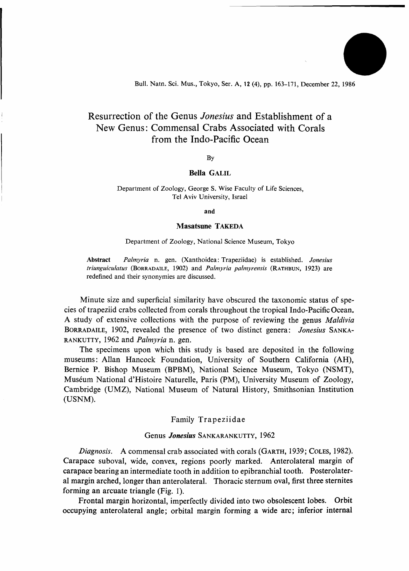Bull. Natn. Sci. Mus., Tokyo, Ser. A, 12 (4), pp. 163-171, December 22, 1986

# Resurrection of the Genus *Jonesius* and Establishment of a New Genus: Commensal Crabs Associated with Corals from the Indo-Pacific Ocean

By

# Bella GALIL

#### Department of Zoology, George S. Wise Faculty of Life Sciences, Tel Aviv University, Israel

**and** 

# Masatsune TAKEDA

#### Department of Zoology, National Science Museum, Tokyo

**Abstract** *Palmyria* n. gen. (Xanthoidea: Trapeziidae) is established. *Jonesius triunguiculatus* (BORRADAILE, 1902) and *Palmyria palmyrensis* (RATHBUN, 1923) are redefined and their synonymies are discussed.

Minute size and superficial similarity have obscured the taxonomic status of species of trapeziid crabs collected from corals throughout the tropical Indo-Pacific Ocean, A study of extensive collections with the purpose of reviewing the genus *Maldivia*  BORRADAILE, 1902, revealed the presence of two distinct genera: *Jonesius* SANKA-RANKUTTY, 1962 and *Palmyria* n. gen.

The specimens upon which this study is based are deposited in the following museums: Allan Hancock Foundation, University of Southern California (AH), Bernice P. Bishop Museum (BPBM), National Science Museum, Tokyo (NSMT), Museum National d'Histoire Naturelle, Paris (PM), University Museum of Zoology, Cambridge (UMZ), National Museum of Natural History, Smithsonian Institution (USNM).

# Family Trapeziidae

### Genus *Jonesius* SANKARANKUTTY, 1962

*Diagnosis.* A commensal crab associated with corals (GARTH, 1939; COLES, 1982). Carapace suboval, wide, convex, regions poorly marked. Anterolateral margin of carapace bearing an intermediate tooth in addition to epibranchial tooth. Posterolateral margin arched, longer than anterolateral. Thoracic sternum oval, first three sternites forming an arcuate triangle (Fig. 1).

Frontal margin horizontal, imperfectly divided into two obsolescent lobes. Orbit occupying anterolateral angle; orbital margin forming a wide arc; inferior internal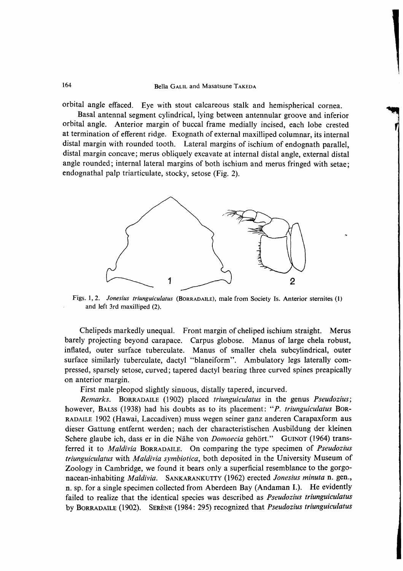# 164 Bella GALIL and Masatsune TAKEDA

orbital angle effaced. Eye with stout calcareous stalk and hemispherical cornea.

Basal antennal segment cylindrical, lying between antennular groove and inferior orbital angle. Anterior margin of buccal frame medially incised, each lobe crested at termination of efferent ridge. Exognath of external maxilliped columnar, its internal distal margin with rounded tooth. Lateral margins of ischium of endognath parallel, distal margin concave; merus obliquely excavate at internal distal angle, external distal angle rounded; internal lateral margins of both ischium and merus fringed with setae; endognathal palp triarticulate, stocky, setose (Fig. 2).



Figs. 1,2. *Jonesius triunguiculatus* (BORRADAILE), male from Society Is. Anterior sternites (1) and left 3rd maxilliped (2).

Chelipeds markedly unequal. Front margin of cheliped ischium straight. Merus barely projecting beyond carapace. Carpus globose. Manus of large chela robust, inflated, outer surface tuberculate. Manus of smaller chela subcylindrical, outer surface similarly tuberculate, dactyl "blaneiform". Ambulatory legs laterally compressed, sparsely setose, curved; tapered dactyl bearing three curved spines preapically on anterior margin.

First male pleopod slightly sinuous, distally tapered, incurved.

*Remarks.* BORRADAILE (1902) placed *triunguiculatus* in the genus *Pseudozius;*  however, BALSS (1938) had his doubts as to its placement: "*P. triunguiculatus* Bor-RADAILE 1902 (Hawai, Laccadiven) muss wegen seiner ganz anderen Carapaxform aus dieser Gattung entfernt werden; nach der characteristischen Ausbildung der kleinen Schere glaube ich, dass er in die Nahe von *Domoecia* gehort." GUINOT (1964) transferred it to *Maldivia* BORRADAILE. On comparing the type specimen of *Pseudozius triunguiculatus* with *Maldivia symbiotica,* both deposited in the University Museum of Zoology in Cambridge, we found it bears only a superficial resemblance to the gorgonacean-inhabiting *Maldivia.* SANKARANKUTTY (1962) erected *Jonesius minuta* n. gen., n. sp. for a single specimen collected from Aberdeen Bay (Andaman I.). He evidently failed to realize that the identical species was described as *Pseudozius triunguiculatus*  by BORRADAILE (1902). SERENE (1984: 295) recognized that *Pseudozius triunguiculatus*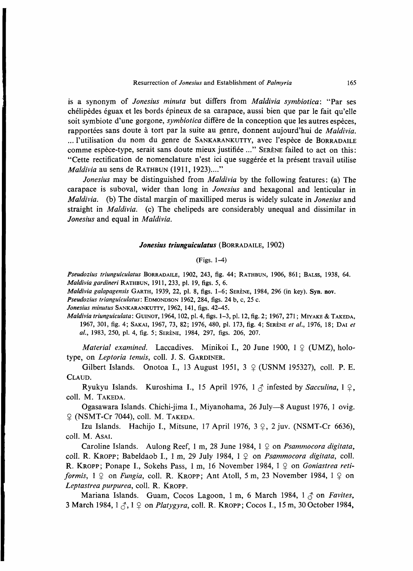is a synonym of *Jonesius minuta* but differs from *Maldivia symbiotica:* "Par ses chélipèdes éguax et les bords épineux de sa carapace, aussi bien que par le fait qu'elle soit symbiote d'une gorgone, *symbiotica* differe de la conception que les autres especes, rapportées sans doute à tort par la suite au genre, donnent aujourd'hui de *Maldivia*. *...* I'utilisation du nom du genre de SANKARANKUTTY, avec I'espece de BORRADAILE comme espece-type, serait sans doute mieux justifiee ..." SERENE failed to act on this: "Cette rectification de nomenclature n'est ici que suggérée et la présent travail utilise *Maldivia* au sens de RATHBUN (1911, 1923)...."

*Jonesius* may be distinguished from *Maldivia* by the following features: (a) The carapace is suboval, wider than long in *Jonesius* and hexagonal and lenticular in *Maldivia.* (b) The distal margin of maxilliped merus is widely sulcate in *Jonesius* and straight in *Maldivia.* (c) The chelipeds are considerably unequal and dissimilar in *Jonesius* and equal in *Maldivia.* 

# *Jonesius triunguiculatus* (BORRADAILE, 1902)

# (Figs. 1-4)

*Pseudozius triunguiculatus* BORRADAILE, 1902, 243, fig. 44; RATHBUN, 1906, 861; BALSS, 1938, 64. *Maldivia gardineri* RATHBUN, 1911, 233, pi. 19, figs. 5, 6.

*Maldivia galapagensis* GARTH, 1939, 22, pi. 8, figs. 1-6; SERENE, 1984, 296 (in key). **Syn. nov.** 

*Pseudozius trianguiculatus:* EDMONDSON 1962, 284, figs. 24 b, c, 25 c.

*Jonesius minutus* SANKARANKUTTY, 1962, 141, figs. 42-45.

*Maldivia triunguiculata:* GUINOT, 1964,102, pi. 4, figs. 1-3, pi. 12, fig. 2; 1967, 271; MIYAKE *&.* TAKEDA, 1967, 301, fig. 4; SAKAI, 1967, 73, 82; 1976, 480, pi. 173, fig. 4; SERENE *et al.,* 1976, 18; DAI *et al,* 1983, 250, pi. 4, fig. 5; SERENE, 1984, 297, figs. 206, 207.

*Material examined.* Laccadives. Minikoi I., 20 June 1900,  $1 \nsubseteq (UMZ)$ , holotype, on *Leptoria tenuis,* coll. J. S. GARDINER.

Gilbert Islands. Onotoa I., 13 August 1951, 3  $\varphi$  (USNM 195327), coll. P. E. CLAUD.

Ryukyu Islands. Kuroshima I., 15 April 1976,  $1 \land$  infested by *Sacculina*,  $1 \circ$ , coll. M. TAKEDA.

Ogasawara Islands. Chichi-jima I., Miyanohama, 26 July—8 August 1976, 1 ovig. ? (NSMT-Cr 7044), coll. M. TAKEDA.

Izu Islands. Hachijo I., Mitsune, 17 April 1976,  $3 \nsubseteq$ , 2 juv. (NSMT-Cr 6636), coll. M. AsAi.

Caroline Islands. Aulong Reef, 1 m, 28 June 1984, 1  $\circ$  on *Psammocora digitata*, coll. R. KROPP; Babeldaob I., 1 m, 29 July 1984,  $1 \nsubseteq \text{on}$  *Psammocora digitata*, coll. R. KROPP; Ponape I., Sokehs Pass, 1 m, 16 November 1984, 1  $\varphi$  on *Goniastrea retiformis*,  $1 \nsubseteq \text{on } F$ *ungia*, coll. R. KROPP; Ant Atoll, 5 m, 23 November 1984,  $1 \nsubseteq \text{on}$ *Leptastrea purpurea,* coll. R. KROPP.

Mariana Islands. Guam, Cocos Lagoon, 1 m, 6 March 1984, 1  $\beta$  on *Favites*, 3 March 1984, 1 (^, 1 \$ on *Platygyra,* coll. R. KROPP; COCOS I., 15 m, 30 October 1984,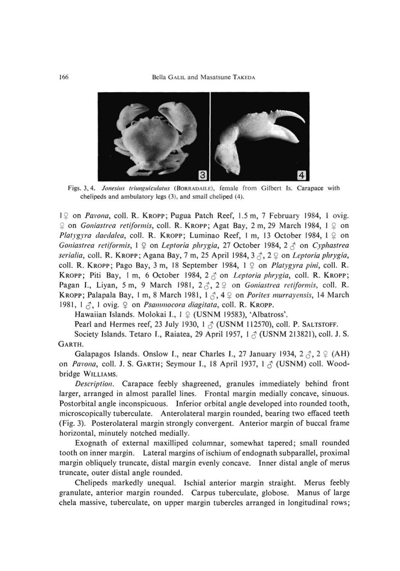

Figs. 3, 4. *Jonesius triunguiculatus* (BORRADAILE), female from Gilbert Is. Carapace with chelipeds and ambulatory legs (3), and small cheliped (4).

1\$ on *Pavona,* coll. R. KROPP; Pugua Patch Reef, 1.5 m, 7 February 1984, 1 ovig.  $\degree$  on *Goniastrea retiformis*, coll. R. KROPP; Agat Bay, 2 m, 29 March 1984, 1  $\degree$  on *Platygyra daedalea, coll. R. KROPP; Luminao Reef, I m, 13 October 1984, 1 2 on Goniastrea retiformis,* 1  $\varphi$  on *Leptoria phrygia,* 27 October 1984, 2  $\varphi$  on *Cyphastrea serialia,* coll. R. KROPP; Agana Bay, 7 m, 25 April 1984, 3 (^, 2 ^ on *Leptoriaphrygia,*  coll. R. KROPP; Pago Bay, 3 m, 18 September 1984, 1  $\circ$  on *Platygyra pini*, coll. R. KROPP; Piti Bay, 1 m, 6 October 1984,  $2 \le \infty$  on *Leptoria phrygia*, coll. R. KROPP; Pagan I., Liyan, 5 m, 9 March 1981, 2 $\zeta$ , 2  $\varphi$  on *Goniastrea retiformis*, coll. R. KROPP; Palapala Bay, 1 m, 8 March 1981,  $1 \, \sigma$ , 4  $\circ$  on *Porites murrayensis*, 14 March 1981, 1  $\zeta$ , 1 ovig.  $\varphi$  on *Psammocora diagitata*, coll. R. KROPP.

Hawaiian Islands. Molokai I.,  $1 \nsubseteq (USNM 19583)$ , 'Albatross'.

Pearl and Hermes reef, 23 July 1930, 1  $\beta$  (USNM 112570), coll. P. SALTSTOFF.

Society Islands. Tetaro I., Raiatea, 29 April 1957,  $1 \land$  (USNM 213821), coll. J. S. GARTH.

Galapagos Islands. Onslow I., near Charles I., 27 January 1934,  $2 \zeta$ ,  $2 \zeta$  (AH) on *Pavona,* coll. J. S. GARTH; Seymour I., 18 April 1937, 1 *^* (USNM) coll. Woodbridge WILLIAMS.

*Description.* Carapace feebly shagreened, granules immediately behind front larger, arranged in almost parallel lines. Frontal margin medially concave, sinuous. Postorbital angle inconspicuous. Inferior orbital angle developed into rounded tooth, microscopically tuberculate. Anterolateral margin rounded, bearing two effaced teeth (Fig. 3). Posterolateral margin strongly convergent. Anterior margin of buccal frame horizontal, minutely notched medially.

Exognath of external maxilliped columnar, somewhat tapered; small rounded tooth on inner margin. Lateral margins of ischium of endognath subparallel, proximal margin obliquely truncate, distal margin evenly concave. Inner distal angle of merus truncate, outer distal angle rounded.

Chelipeds markedly unequal. Ischial anterior margin straight. Merus feebly granulate, anterior margin rounded. Carpus tuberculate, globose. Manus of large chela massive, tuberculate, on upper margin tubercles arranged in longitudinal rows;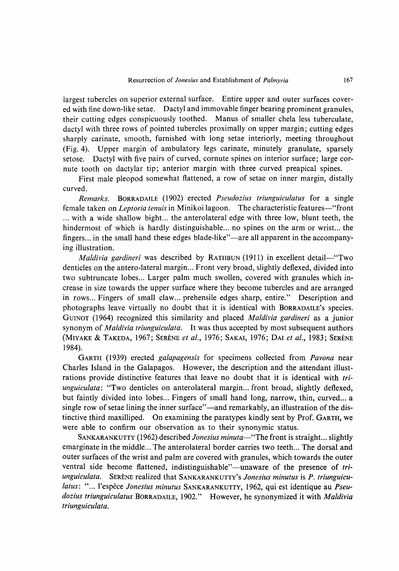largest tubercles on superior external surface. Entire upper and outer surfaces covered with fine down-like setae. Dactyl and immovable finger bearing prominent granules, their cutting edges conspicuously toothed. Manus of smaller chela less tuberculate, dactyl with three rows of pointed tubercles proximally on upper margin; cutting edges sharply carinate, smooth, furnished with long setae interiorly, meeting throughout (Fig. 4). Upper margin of ambulatory legs carinate, minutely granulate, sparsely setose. Dactyl with five pairs of curved, cornute spines on interior surface; large cornute tooth on dactylar tip; anterior margin with three curved preapical spines.

First male pleopod somewhat flattened, a row of setae on inner margin, distally curved.

*Remarks.* BORRADAILE (1902) erected *Pseudozius triunguiculatus* for a single female taken on *Leptoria tenuis* in Minikoi lagoon. The characteristic features—"front ... with a wide shallow bight... the anterolateral edge with three low, blunt teeth, the hindermost of which is hardly distinguishable... no spines on the arm or wrist... the fingers... in the small hand these edges blade-like"—are all apparent in the accompanying illustration.

*Maldivia gardineri* was described by RATHBUN (1911) in excellent detail—"Two denticles on the antero-lateral margin... Front very broad, slightly deflexed, divided into two subtruncate lobes... Larger palm much swollen, covered with granules which increase in size towards the upper surface where they become tubercles and are arranged in rows... Fingers of small claw... prehensile edges sharp, entire." Description and photographs leave virtually no doubt that it is identical with BORRADAILE'S species. GuiNOT (1964) recognized this similarity and placed *Maldivia gardineri* as a junior synonym of *Maldivia triunguiculata.* It was thus accepted by most subsequent authors (MiYAKE & TAKEDA, 1967; SERENE *et al,* 1976; SAKAI, 1976; DAI *et ai,* 1983; SERENE 1984).

GARTH (1939) erected *galapagensis* for specimens collected from *Pavona* near Charles Island in the Galapagos. However, the description and the attendant illustrations provide distinctive features that leave no doubt that it is identical with *triunguiculata'.* "TWO denticles on anterolateral margin... front broad, slightly deflexed, but faintly divided into lobes... Fingers of small hand long, narrow, thin, curved... a single row of setae lining the inner surface"—and remarkably, an illustration of the distinctive third maxilliped. On examining the paratypes kindly sent by Prof. GARTH, we were able to confirm our observation as to their synonymic status.

SANKARANKUTTY (1962) described *Jonesius minuta*—"The front is straight... slightly emarginate in the middle... The anterolateral border carries two teeth... The dorsal and outer surfaces of the wrist and palm are covered with granules, which towards the outer ventral side become flattened, indistinguishable"—unaware of the presence of *triunguiculata.* SERENE realized that SANKARANKUTTY's *Jonesius minutus* is *P. triunguicu*latus: "... l'espèce Jonesius minutus SANKARANKUTTY, 1962, qui est identique au Pseu*dozius triunguiculatus* BORRADAILE, 1902." However, he synonymized it with *Maldivia triunguiculata.*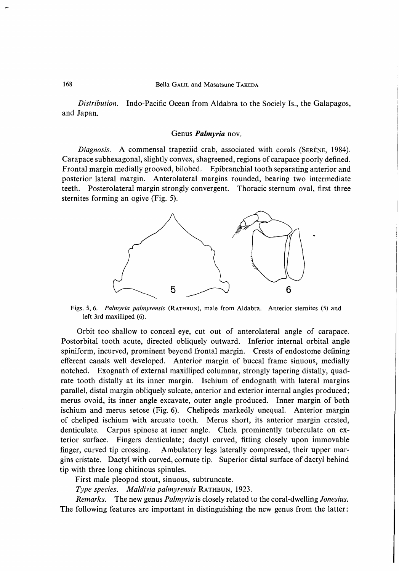## 168 Bella GALIL and Masatsune TAKEDA

*Distribution.* Indo-Pacific Ocean from Aldabra to the Sociely Is., the Galapagos, and Japan.

### Genus *Palmyria* nov.

*Diagnosis.* A commensal trapeziid crab, associated with corals (SERÈNE, 1984). Carapace subhexagonal, slightly convex, shagreened, regions of carapace poorly defined. Frontal margin medially grooved, bilobed. Epibranchial tooth separating anterior and posterior lateral margin. Anterolateral margins rounded, bearing two intermediate teeth. Posterolateral margin strongly convergent. Thoracic sternum oval, first three sternites forming an ogive (Fig. 5).



Figs. 5, 6. *Palmyria palmyrensis* (RATHBUN), male from Aldabra. Anterior sternites (5) and left 3rd maxilliped (6).

Orbit too shallow to conceal eye, cut out of anterolateral angle of carapace. Postorbital tooth acute, directed obliquely outward. Inferior internal orbital angle spiniform, incurved, prominent beyond frontal margin. Crests of endostome defining efferent canals well developed. Anterior margin of buccal frame sinuous, medially notched. Exognath of external maxilliped columnar, strongly tapering distally, quadrate tooth distally at its inner margin. Ischium of endognath with lateral margins parallel, distal margin obliquely sulcate, anterior and exterior internal angles produced; merus ovoid, its inner angle excavate, outer angle produced. Inner margin of both ischium and merus setose (Fig. 6). Chelipeds markedly unequal. Anterior margin of cheliped ischium with arcuate tooth. Merus short, its anterior margin crested, denticulate. Carpus spinose at inner angle. Chela prominently tuberculate on exterior surface. Fingers denticulate; dactyl curved, fitting closely upon immovable finger, curved tip crossing. Ambulatory legs laterally compressed, their upper margins cristate. Dactyl with curved, cornute tip. Superior distal surface of dactyl behind tip with three long chitinous spinules.

First male pleopod stout, sinuous, subtruncate.

*Type species. Maldivia palmyrensis KATHBUN,* 1923.

*Remarks.* The new genus *Palmyria* is closely related to the coral-dwelling *Jonesius.*  The following features are important in distinguishing the new genus from the latter: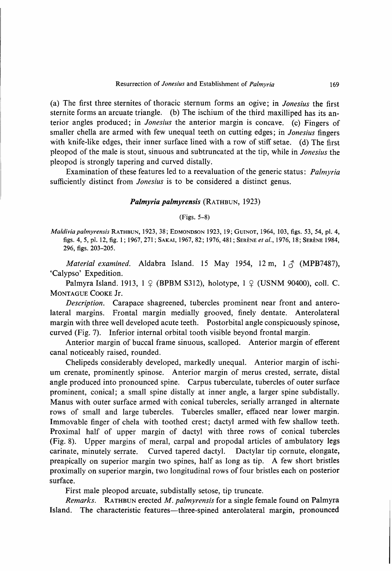(a) The first three sternites of thoracic sternum forms an ogive; in *Jonesius* the first sternite forms an arcuate triangle. (b) The ischium of the third maxilliped has its anterior angles produced; in *Jonesius* the anterior margin is concave, (c) Fingers of smaller chella are armed with few unequal teeth on cutting edges; in *Jonesius* fingers with knife-like edges, their inner surface lined with a row of stiff setae. (d) The first pleopod of the male is stout, sinuous and subtruncated at the tip, while in *Jonesius* the pleopod is strongly tapering and curved distally.

Examination of these features led to a reevaluation of the generic status: *Palmyria*  sufficiently distinct from *Jonesius* is to be considered a distinct genus.

## *Palmyria palmyrensis* (RATHBUN, 1923)

(Figs. 5-8)

*Maldiviapalmyrensis* RATHBUN, 1923, 38; EDMONDSON 1923, 19; GUINOT, 1964, 103, figs. 53, 54, pi. 4, figs. 4, 5, pi. 12, fig. 1; 1967, 271; SAKAI, 1967, 82; 1976, 481; SERENE *et al.,* 1976, 18; SERENE 1984, 296, figs. 203-205.

*Material examined.* Aldabra Island. 15 May 1954, 12 m,  $1 \land$  (MPB7487), 'Calypso' Expedition.

Palmyra Island. 1913,  $1 \nsubseteq$  (BPBM S312), holotype,  $1 \nsubseteq$  (USNM 90400), coll. C. MONTAGUE COOKE Jr.

*Description.* Carapace shagreened, tubercles prominent near front and anterolateral margins. Frontal margin medially grooved, finely dentate. Anterolateral margin with three well developed acute teeth. Postorbital angle conspicuously spinose, curved (Fig. 7). Inferior internal orbital tooth visible beyond frontal margin.

Anterior margin of buccal frame sinuous, scalloped. Anterior margin of efferent canal noticeably raised, rounded.

Chelipeds considerably developed, markedly unequal. Anterior margin of ischium crenate, prominently spinose. Anterior margin of merus crested, serrate, distal angle produced into pronounced spine. Carpus tuberculate, tubercles of outer surface prominent, conical; a small spine distally at inner angle, a larger spine subdistally. Manus with outer surface armed with conical tubercles, serially arranged in alternate rows of small and large tubercles. Tubercles smaller, effaced near lower margin. Immovable finger of chela with toothed crest; dactyl armed with few shallow teeth. Proximal half of upper margin of dactyl with three rows of conical tubercles (Fig. 8). Upper margins of meral, carpal and propodal articles of ambulatory legs carinate, minutely serrate. Curved tapered dactyl. Dactylar tip cornute, elongate, preapically on superior margin two spines, half as long as tip. A few short bristles proximally on superior margin, two longitudinal rows of four bristles each on posterior surface.

First male pleopod arcuate, subdistally setose, tip truncate.

*Remarks.* RATHBUN erected *M. palmyrensis* for a single female found on Palmyra Island. The characteristic features—three-spined anterolateral margin, pronounced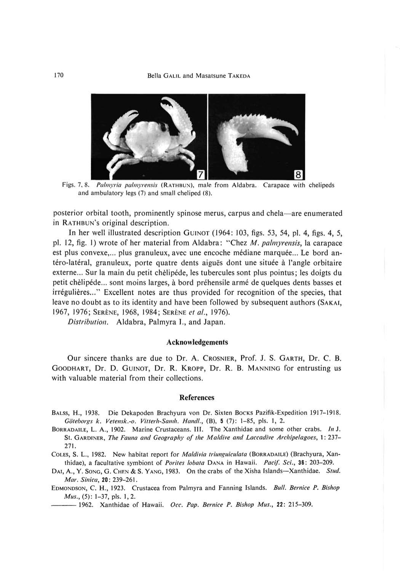

Figs. 7, 8. *Paliuyria palmyrens'is* (RATHBUN), male from Aldabra. Carapace with chelipeds and ambulatory legs (7) and small cheliped (8).

posterior orbital tooth, prominently spinose merus, carpus and chela—are enumerated in RATHBUN'S original description.

In her well illustrated description GUINOT (1964: 103, figs. 53, 54, pi. 4, figs. 4, 5, pi. 12, fig. 1) wrote of her material from Aldabra: ''Chez *M. palmyreusfs,* la carapace est plus convexe,... plus granuleux, avec une encoche médiane marquée... Le bord antéro-latéral, granuleux, porte quatre dents aiguës dont une située à l'angle orbitaire externe... Sur la main du petit chelipede, les tubercules sont plus pointus; les doigts du petit chelipede... sont moins larges, a bord prehensile arme de quelques dents basses et irregulieres...'' Excellent notes are thus provided for recognition of the species, that leave no doubt as to its identity and have been followed by subsequent authors (SAKAI, 1967, 1976; SERENE, 1968, 1984; SERENE *et ai,* 1976).

*Distribution.* Aldabra, Palmyra I., and Japan.

#### **Acknowledgements**

Our sincere thanks are due to Dr. A. CROSNIER, Prof. J. S. GARTH, Dr. C. B. GooDHART, Dr. D. GUINOT, Dr. R. KROPP, Dr. R. B. MANNING for entrusting us with valuable material from their collections.

#### References

- BALSS, H., 1938. Die Dekapoden Brachyura von Dr. Sixten Bocks Pazifik-Expedition 1917-1918. *Gotehorgs k. Vetemk.-o. Vitterh-Samh. Hand/.,* (B), 5 (7): 1-85, pis. 1, 2.
- BoRRADAiLE, L. A., 1902. Marine Crustaceans. III. The Xanthidae and some other crabs. *In J.*  St. GARDINER, *The Fauna and Geography of the Ma/dive and Laccadive Archipelagoes,* 1: 237- 271.
- COLES, S. L., 1982. New habitat report for *Maidivia triungidcidata* (BORRADAILE) (Brachyura, Xanthidae), a facultative symbiont of *Porites iobata* DANA in Hawaii. *Pacif. Sci.,* 36: 203-209.
- DAI, A., Y. SONG, G. CHEN & S. YANG, 1983. On the crabs of the Xisha Islands—Xanthidae. Stud. *Mar. Sinica,* 20: 239-261.
- EDMONDSON, C. H. , 1923. Crustacea from Palmyra and Fanning Islands. *BuU. Bernice P. Bishop Mus.*, (5): 1-37, pls. 1, 2.

1962. Xanthidae of Hawaii. *Occ. Pap. Bernice P. Bishop Mus.,* 22: 215-309.